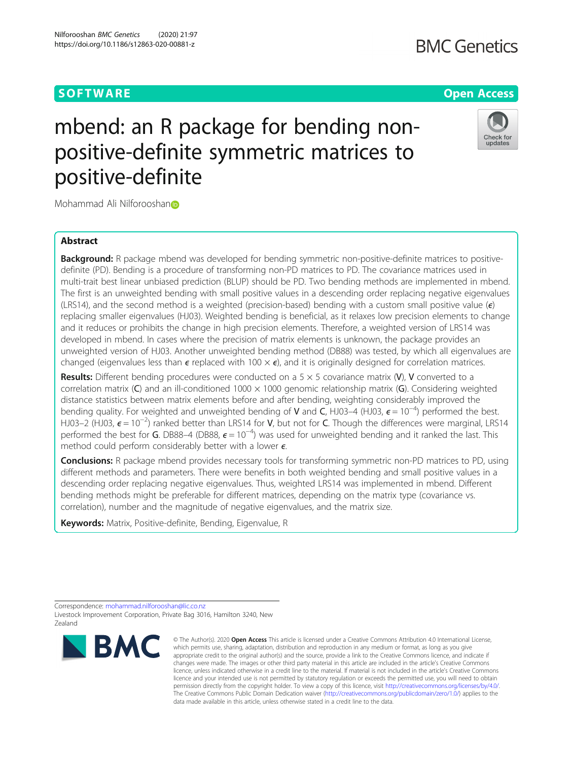# **SOFTWARE SOFTWARE** *CONSERVERSE EXECUTIVE EXECUTIVE EXECUTIVE EXECUTIVE EXECUTIVE EXECUTIVE EXECUTIVE EXECUTIVE EXECUTIVE EXECUTIVE EXECUTIVE EXECUTIVE EXECUTIVE EXECUTIVE EXECUTIVE EXECUTIVE EXECUTIVE EXECUTIVE EXECUT*

# **BMC Genetics**

# Check for updates

# mbend: an R package for bending nonpositive-definite symmetric matrices to positive-definite

Mohammad Ali Nilforooshan<sup>o</sup>

# Abstract

**Background:** R package mbend was developed for bending symmetric non-positive-definite matrices to positivedefinite (PD). Bending is a procedure of transforming non-PD matrices to PD. The covariance matrices used in multi-trait best linear unbiased prediction (BLUP) should be PD. Two bending methods are implemented in mbend. The first is an unweighted bending with small positive values in a descending order replacing negative eigenvalues (LRS14), and the second method is a weighted (precision-based) bending with a custom small positive value ( $\epsilon$ ) replacing smaller eigenvalues (HJ03). Weighted bending is beneficial, as it relaxes low precision elements to change and it reduces or prohibits the change in high precision elements. Therefore, a weighted version of LRS14 was developed in mbend. In cases where the precision of matrix elements is unknown, the package provides an unweighted version of HJ03. Another unweighted bending method (DB88) was tested, by which all eigenvalues are changed (eigenvalues less than  $\epsilon$  replaced with 100  $\times$   $\epsilon$ ), and it is originally designed for correlation matrices.

**Results:** Different bending procedures were conducted on a  $5 \times 5$  covariance matrix (V), V converted to a correlation matrix (C) and an ill-conditioned 1000  $\times$  1000 genomic relationship matrix (G). Considering weighted distance statistics between matrix elements before and after bending, weighting considerably improved the bending quality. For weighted and unweighted bending of V and C, HJ03–4 (HJ03,  $\epsilon$  = 10<sup>-4)</sup> performed the best. HJ03–2 (HJ03,  $\epsilon$  = 10<sup>-2</sup>) ranked better than LRS14 for V, but not for C. Though the differences were marginal, LRS14 performed the best for G. DB88–4 (DB88,  $\epsilon = 10^{-4}$ ) was used for unweighted bending and it ranked the last. This method could perform considerably better with a lower  $\epsilon$ .

Conclusions: R package mbend provides necessary tools for transforming symmetric non-PD matrices to PD, using different methods and parameters. There were benefits in both weighted bending and small positive values in a descending order replacing negative eigenvalues. Thus, weighted LRS14 was implemented in mbend. Different bending methods might be preferable for different matrices, depending on the matrix type (covariance vs. correlation), number and the magnitude of negative eigenvalues, and the matrix size.

Keywords: Matrix, Positive-definite, Bending, Eigenvalue, R

Correspondence: [mohammad.nilforooshan@lic.co.nz](mailto:mohammad.nilforooshan@lic.co.nz) Livestock Improvement Corporation, Private Bag 3016, Hamilton 3240, New Zealand



<sup>©</sup> The Author(s), 2020 **Open Access** This article is licensed under a Creative Commons Attribution 4.0 International License, which permits use, sharing, adaptation, distribution and reproduction in any medium or format, as long as you give appropriate credit to the original author(s) and the source, provide a link to the Creative Commons licence, and indicate if changes were made. The images or other third party material in this article are included in the article's Creative Commons licence, unless indicated otherwise in a credit line to the material. If material is not included in the article's Creative Commons licence and your intended use is not permitted by statutory regulation or exceeds the permitted use, you will need to obtain permission directly from the copyright holder. To view a copy of this licence, visit [http://creativecommons.org/licenses/by/4.0/.](http://creativecommons.org/licenses/by/4.0/) The Creative Commons Public Domain Dedication waiver [\(http://creativecommons.org/publicdomain/zero/1.0/](http://creativecommons.org/publicdomain/zero/1.0/)) applies to the data made available in this article, unless otherwise stated in a credit line to the data.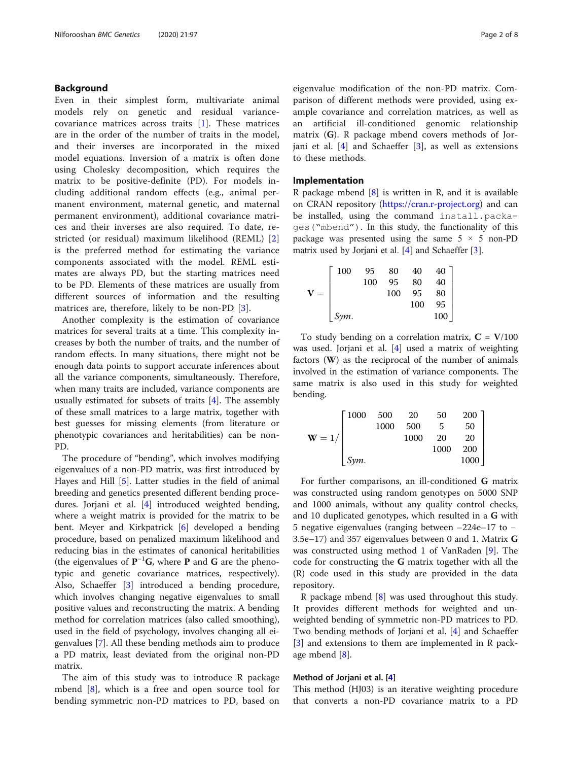# Background

Even in their simplest form, multivariate animal models rely on genetic and residual variancecovariance matrices across traits [[1\]](#page-7-0). These matrices are in the order of the number of traits in the model, and their inverses are incorporated in the mixed model equations. Inversion of a matrix is often done using Cholesky decomposition, which requires the matrix to be positive-definite (PD). For models including additional random effects (e.g., animal permanent environment, maternal genetic, and maternal permanent environment), additional covariance matrices and their inverses are also required. To date, restricted (or residual) maximum likelihood (REML) [\[2](#page-7-0)] is the preferred method for estimating the variance components associated with the model. REML estimates are always PD, but the starting matrices need to be PD. Elements of these matrices are usually from different sources of information and the resulting matrices are, therefore, likely to be non-PD [[3\]](#page-7-0).

Another complexity is the estimation of covariance matrices for several traits at a time. This complexity increases by both the number of traits, and the number of random effects. In many situations, there might not be enough data points to support accurate inferences about all the variance components, simultaneously. Therefore, when many traits are included, variance components are usually estimated for subsets of traits [[4\]](#page-7-0). The assembly of these small matrices to a large matrix, together with best guesses for missing elements (from literature or phenotypic covariances and heritabilities) can be non-PD.

The procedure of "bending", which involves modifying eigenvalues of a non-PD matrix, was first introduced by Hayes and Hill [\[5](#page-7-0)]. Latter studies in the field of animal breeding and genetics presented different bending procedures. Jorjani et al. [[4\]](#page-7-0) introduced weighted bending, where a weight matrix is provided for the matrix to be bent. Meyer and Kirkpatrick [\[6](#page-7-0)] developed a bending procedure, based on penalized maximum likelihood and reducing bias in the estimates of canonical heritabilities (the eigenvalues of  $P^{-1}G$ , where P and G are the phenotypic and genetic covariance matrices, respectively). Also, Schaeffer [[3\]](#page-7-0) introduced a bending procedure, which involves changing negative eigenvalues to small positive values and reconstructing the matrix. A bending method for correlation matrices (also called smoothing), used in the field of psychology, involves changing all eigenvalues [\[7](#page-7-0)]. All these bending methods aim to produce a PD matrix, least deviated from the original non-PD matrix.

The aim of this study was to introduce R package mbend [[8\]](#page-7-0), which is a free and open source tool for bending symmetric non-PD matrices to PD, based on

eigenvalue modification of the non-PD matrix. Comparison of different methods were provided, using example covariance and correlation matrices, as well as an artificial ill-conditioned genomic relationship matrix (G). R package mbend covers methods of Jorjani et al.  $[4]$  $[4]$  $[4]$  and Schaeffer  $[3]$  $[3]$ , as well as extensions to these methods.

## Implementation

R package mbend  $[8]$  $[8]$  is written in R, and it is available on CRAN repository ([https://cran.r-project.org\)](https://cran.r-project.org) and can be installed, using the command install.packages("mbend"). In this study, the functionality of this package was presented using the same  $5 \times 5$  non-PD matrix used by Jorjani et al. [\[4](#page-7-0)] and Schaeffer [\[3](#page-7-0)].

|     | 100  | 95  | 80  | 40  | 40  |
|-----|------|-----|-----|-----|-----|
|     |      | 100 | 95  | 80  | 40  |
| $=$ |      |     | 100 | 95  | 80  |
|     |      |     |     | 100 | 95  |
|     | Sym. |     |     |     | 100 |

To study bending on a correlation matrix,  $C = V/100$ was used. Jorjani et al. [\[4\]](#page-7-0) used a matrix of weighting factors (W) as the reciprocal of the number of animals involved in the estimation of variance components. The same matrix is also used in this study for weighted bending.

|          | $\lceil 1000 \rceil$ | 500  | - 20 | -50  | 200 ] |
|----------|----------------------|------|------|------|-------|
|          |                      | 1000 | 500  | 5    | 50    |
| $W = 1/$ |                      |      | 1000 | 20   | 20    |
|          |                      |      |      | 1000 | 200   |
|          | Sym.                 |      |      |      | 1000  |

For further comparisons, an ill-conditioned G matrix was constructed using random genotypes on 5000 SNP and 1000 animals, without any quality control checks, and 10 duplicated genotypes, which resulted in a G with 5 negative eigenvalues (ranging between –224e–17 to − 3.5e–17) and 357 eigenvalues between 0 and 1. Matrix G was constructed using method 1 of VanRaden [[9\]](#page-7-0). The code for constructing the G matrix together with all the (R) code used in this study are provided in the data repository.

R package mbend [[8](#page-7-0)] was used throughout this study. It provides different methods for weighted and unweighted bending of symmetric non-PD matrices to PD. Two bending methods of Jorjani et al. [[4\]](#page-7-0) and Schaeffer [[3\]](#page-7-0) and extensions to them are implemented in R package mbend [[8\]](#page-7-0).

### Method of Jorjani et al. [[4\]](#page-7-0)

This method (HJ03) is an iterative weighting procedure that converts a non-PD covariance matrix to a PD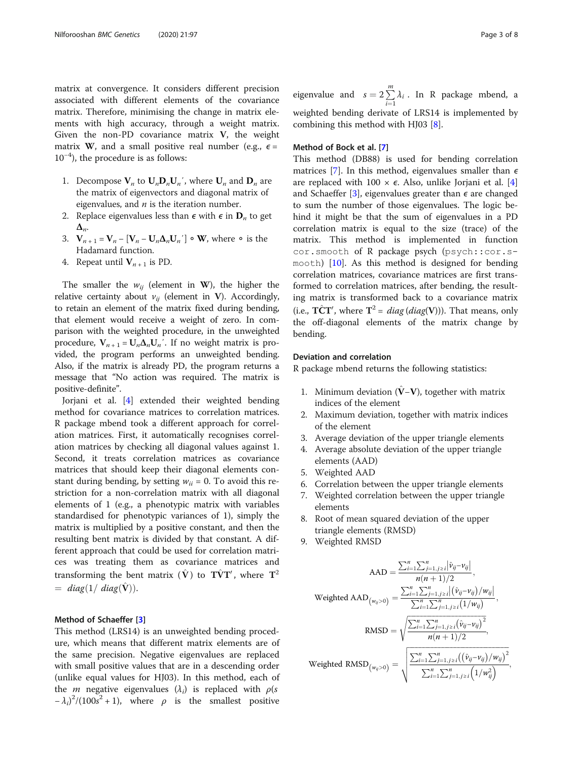matrix at convergence. It considers different precision associated with different elements of the covariance matrix. Therefore, minimising the change in matrix elements with high accuracy, through a weight matrix. Given the non-PD covariance matrix V, the weight matrix W, and a small positive real number (e.g.,  $\epsilon$  = 10−<sup>4</sup> ), the procedure is as follows:

- 1. Decompose  $V_n$  to  $U_nD_nU_n'$ , where  $U_n$  and  $D_n$  are the matrix of eigenvectors and diagonal matrix of eigenvalues, and  $n$  is the iteration number.
- 2. Replace eigenvalues less than  $\epsilon$  with  $\epsilon$  in  $\mathbf{D}_n$  to get  $\Delta_{n}$ .
- 3.  $V_{n+1} = V_n [V_n U_n \Delta_n U_n'] \circ W$ , where ∘ is the Hadamard function.
- 4. Repeat until  $V_{n+1}$  is PD.

The smaller the  $w_{ij}$  (element in W), the higher the relative certainty about  $v_{ii}$  (element in V). Accordingly, to retain an element of the matrix fixed during bending, that element would receive a weight of zero. In comparison with the weighted procedure, in the unweighted procedure,  $V_{n+1} = U_n \Delta_n U_n'$ . If no weight matrix is provided, the program performs an unweighted bending. Also, if the matrix is already PD, the program returns a message that "No action was required. The matrix is positive-definite".

Jorjani et al. [[4\]](#page-7-0) extended their weighted bending method for covariance matrices to correlation matrices. R package mbend took a different approach for correlation matrices. First, it automatically recognises correlation matrices by checking all diagonal values against 1. Second, it treats correlation matrices as covariance matrices that should keep their diagonal elements constant during bending, by setting  $w_{ii} = 0$ . To avoid this restriction for a non-correlation matrix with all diagonal elements of 1 (e.g., a phenotypic matrix with variables standardised for phenotypic variances of 1), simply the matrix is multiplied by a positive constant, and then the resulting bent matrix is divided by that constant. A different approach that could be used for correlation matrices was treating them as covariance matrices and transforming the bent matrix  $(\hat{\mathbf{V}})$  to  $\mathbf{T}\hat{\mathbf{V}}\mathbf{T}'$ , where  $\mathbf{T}^2$  $= diag(1/ diag(\hat{V}))$ .

# Method of Schaeffer [[3\]](#page-7-0)

This method (LRS14) is an unweighted bending procedure, which means that different matrix elements are of the same precision. Negative eigenvalues are replaced with small positive values that are in a descending order (unlike equal values for HJ03). In this method, each of the *m* negative eigenvalues  $(\lambda_i)$  is replaced with  $\rho(s)$  $-\lambda_i^2/(100s^2+1)$ , where  $\rho$  is the smallest positive

eigenvalue and  $s = 2 \sum_{i=1}^{m}$  $\dot{i}=1$  $\lambda_i$ . In R package mbend, a weighted bending derivate of LRS14 is implemented by combining this method with HJ03 [[8\]](#page-7-0).

# Method of Bock et al. [\[7](#page-7-0)]

This method (DB88) is used for bending correlation matrices [\[7](#page-7-0)]. In this method, eigenvalues smaller than  $\epsilon$ are replaced with 100  $\times$   $\epsilon$ . Also, unlike Jorjani et al. [\[4](#page-7-0)] and Schaeffer [\[3](#page-7-0)], eigenvalues greater than  $\epsilon$  are changed to sum the number of those eigenvalues. The logic behind it might be that the sum of eigenvalues in a PD correlation matrix is equal to the size (trace) of the matrix. This method is implemented in function cor.smooth of R package psych (psych::cor.smooth) [\[10](#page-7-0)]. As this method is designed for bending correlation matrices, covariance matrices are first transformed to correlation matrices, after bending, the resulting matrix is transformed back to a covariance matrix (i.e.,  $\hat{\text{TCT}}'$ , where  $\hat{\text{T}}^2 = diag(diag(\text{V})))$ . That means, only the off-diagonal elements of the matrix change by bending.

# Deviation and correlation

R package mbend returns the following statistics:

- 1. Minimum deviation  $(V-V)$ , together with matrix indices of the element
- 2. Maximum deviation, together with matrix indices of the element
- 3. Average deviation of the upper triangle elements
- 4. Average absolute deviation of the upper triangle elements (AAD)
- 5. Weighted AAD
- 6. Correlation between the upper triangle elements
- 7. Weighted correlation between the upper triangle elements
- 8. Root of mean squared deviation of the upper triangle elements (RMSD)
- 9. Weighted RMSD

$$
AAD = \frac{\sum_{i=1}^{n} \sum_{j=1, j \ge i}^{n} |\hat{v}_{ij} - v_{ij}|}{n(n+1)/2},
$$
  
\n
$$
Weighted AAD_{(w_{ij} > 0)} = \frac{\sum_{i=1}^{n} \sum_{j=1, j \ge i}^{n} |(\hat{v}_{ij} - v_{ij})/w_{ij}|}{\sum_{i=1}^{n} \sum_{j=1, j \ge i}^{n} (1/w_{ij})},
$$
  
\n
$$
RMSD = \sqrt{\frac{\sum_{i=1}^{n} \sum_{j=1, j \ge i}^{n} (\hat{v}_{ij} - v_{ij})^{2}}{n(n+1)/2}},
$$
  
\n
$$
Weighted RMSD_{(w_{ij} > 0)} = \sqrt{\frac{\sum_{i=1}^{n} \sum_{j=1, j \ge i}^{n} ((\hat{v}_{ij} - v_{ij})/w_{ij})^{2}}{\sum_{i=1}^{n} \sum_{j=1, j \ge i}^{n} (1/w_{ij}^{2})}},
$$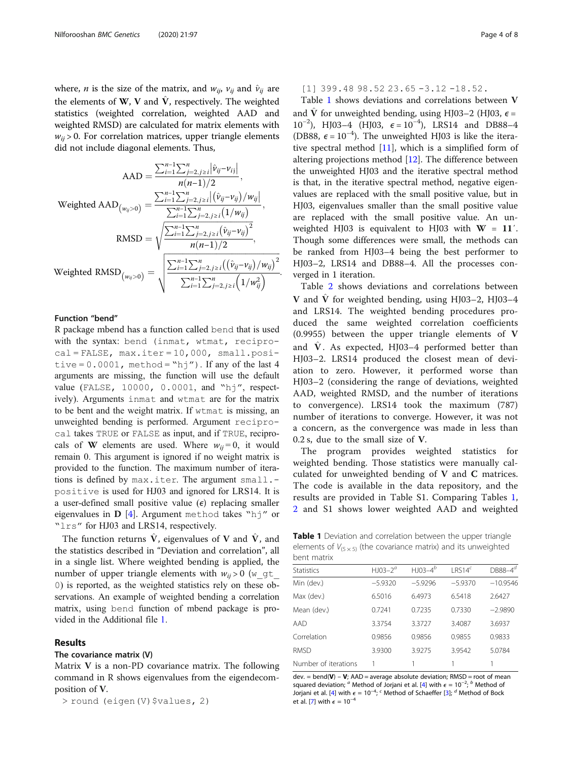<span id="page-3-0"></span>where, *n* is the size of the matrix, and  $w_{ij}$ ,  $v_{ij}$  and  $\hat{v}_{ij}$  are the elements of W, V and  $\hat{V}$ , respectively. The weighted statistics (weighted correlation, weighted AAD and weighted RMSD) are calculated for matrix elements with  $w_{ii}$  > 0. For correlation matrices, upper triangle elements did not include diagonal elements. Thus,

$$
AAD = \frac{\sum_{i=1}^{n-1} \sum_{j=2, j\geq i}^{n} |\hat{v}_{ij} - v_{ij}|}{n(n-1)/2},
$$
  
\n
$$
\text{Weighted } AAD_{(w_{ij} > 0)} = \frac{\sum_{i=1}^{n-1} \sum_{j=2, j\geq i}^{n} |(\hat{v}_{ij} - v_{ij})/w_{ij}|}{\sum_{i=1}^{n-1} \sum_{j=2, j\geq i}^{n} (1/w_{ij})},
$$
  
\n
$$
\text{RMSD} = \sqrt{\frac{\sum_{i=1}^{n-1} \sum_{j=2, j\geq i}^{n} (\hat{v}_{ij} - v_{ij})^{2}}{n(n-1)/2}},
$$
  
\n
$$
\text{Weighted } RMSD_{(w_{ij} > 0)} = \sqrt{\frac{\sum_{i=1}^{n-1} \sum_{j=2, j\geq i}^{n} ((\hat{v}_{ij} - v_{ij})/w_{ij})^{2}}{\sum_{i=1}^{n-1} \sum_{j=2, j\geq i}^{n} (1/w_{ij}^{2})}}.
$$

# Function "bend"

R package mbend has a function called bend that is used with the syntax: bend (inmat, wtmat, reciprocal = FALSE, max.iter = 10,000, small.positive =  $0.0001$ , method = "hj"). If any of the last 4 arguments are missing, the function will use the default value (FALSE, 10000, 0.0001, and "hj", respectively). Arguments inmat and wtmat are for the matrix to be bent and the weight matrix. If wtmat is missing, an unweighted bending is performed. Argument reciprocal takes TRUE or FALSE as input, and if TRUE, reciprocals of **W** elements are used. Where  $w_{ij} = 0$ , it would remain 0. This argument is ignored if no weight matrix is provided to the function. The maximum number of iterations is defined by max.iter. The argument small. positive is used for HJ03 and ignored for LRS14. It is a user-defined small positive value  $(\epsilon)$  replacing smaller eigenvalues in  $\bf{D}$  [\[4](#page-7-0)]. Argument method takes "h $\dot{\bf{j}}$ " or "lrs" for HJ03 and LRS14, respectively.

The function returns  $\hat{V}$ , eigenvalues of V and  $\hat{V}$ , and the statistics described in "Deviation and correlation", all in a single list. Where weighted bending is applied, the number of upper triangle elements with  $w_{ii} > 0$  (w gt 0) is reported, as the weighted statistics rely on these observations. An example of weighted bending a correlation matrix, using bend function of mbend package is provided in the Additional file [1.](#page-6-0)

# Results

# The covariance matrix (V)

Matrix V is a non-PD covariance matrix. The following command in R shows eigenvalues from the eigendecomposition of V.

> round (eigen(V)\$values, 2)

[1] 399.48 98.52 23.65 -3.12 -18.52.

Table 1 shows deviations and correlations between V and  $\hat{V}$  for unweighted bending, using HJ03–2 (HJ03,  $\epsilon$  = 10<sup>-2</sup>), HJ03-4 (HJ03,  $\epsilon = 10^{-4}$ ), LRS14 and DB88-4 (DB88,  $\epsilon = 10^{-4}$ ). The unweighted HJ03 is like the iterative spectral method  $[11]$ , which is a simplified form of altering projections method [\[12](#page-7-0)]. The difference between the unweighted HJ03 and the iterative spectral method is that, in the iterative spectral method, negative eigenvalues are replaced with the small positive value, but in HJ03, eigenvalues smaller than the small positive value are replaced with the small positive value. An unweighted HJ03 is equivalent to HJ03 with  $W = 11'$ . Though some differences were small, the methods can be ranked from HJ03–4 being the best performer to HJ03–2, LRS14 and DB88–4. All the processes converged in 1 iteration.

Table [2](#page-4-0) shows deviations and correlations between V and  $\hat{V}$  for weighted bending, using HJ03–2, HJ03–4 and LRS14. The weighted bending procedures produced the same weighted correlation coefficients (0.9955) between the upper triangle elements of V and  $\hat{V}$ . As expected, HJ03–4 performed better than HJ03–2. LRS14 produced the closest mean of deviation to zero. However, it performed worse than HJ03–2 (considering the range of deviations, weighted AAD, weighted RMSD, and the number of iterations to convergence). LRS14 took the maximum (787) number of iterations to converge. However, it was not a concern, as the convergence was made in less than 0.2 s, due to the small size of V.

The program provides weighted statistics for weighted bending. Those statistics were manually calculated for unweighted bending of V and C matrices. The code is available in the data repository, and the results are provided in Table S1. Comparing Tables 1, [2](#page-4-0) and S1 shows lower weighted AAD and weighted

Table 1 Deviation and correlation between the upper triangle elements of  $V_{(5 \times 5)}$  (the covariance matrix) and its unweighted bent matrix

| <b>Statistics</b>    | $H$ IO3-2 <sup>a</sup> | $H$ J03-4 <sup>b</sup> | IRS14 <sup>c</sup> | $DB88-4^d$ |  |
|----------------------|------------------------|------------------------|--------------------|------------|--|
| Min (dev.)           | $-5.9320$              | $-5.9296$              | $-5.9370$          | $-10.9546$ |  |
| Max (dev.)           | 6.5016                 | 6.4973                 | 6.5418             | 2.6427     |  |
| Mean (dev.)          | 0.7241                 | 0.7235                 | 0.7330             | $-2.9890$  |  |
| AAD                  | 3.3754                 | 3.3727                 | 3.4087             | 3.6937     |  |
| Correlation          | 0.9856                 | 0.9856                 | 0.9855             | 0.9833     |  |
| <b>RMSD</b>          | 3.9300                 | 3.9275                 | 3.9542             | 5.0784     |  |
| Number of iterations |                        |                        |                    |            |  |
|                      |                        |                        |                    |            |  |

dev. = bend( $V$ ) –  $V$ ; AAD = average absolute deviation; RMSD = root of mean squared deviation; <sup>a</sup> Method of Jorjani et al. [[4](#page-7-0)] with  $\epsilon = 10^{-2}$ ; <sup>b</sup> Method of Jorjani et al. [\[4\]](#page-7-0) with  $\epsilon = 10^{-4}$ ; <sup>c</sup> Method of Schaeffer [\[3\]](#page-7-0); <sup>d</sup> Method of Bock et al. [\[7\]](#page-7-0) with  $\epsilon = 10^{-4}$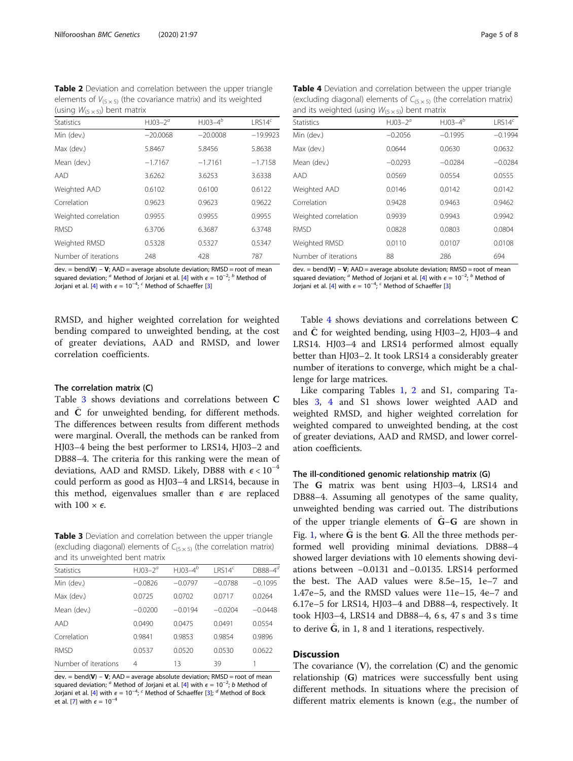<span id="page-4-0"></span>Table 2 Deviation and correlation between the upper triangle elements of  $V_{(5 \times 5)}$  (the covariance matrix) and its weighted (using  $W_{(5 \times 5)}$ ) bent matrix

| <b>Statistics</b>    | $H$ J03-2 <sup><math>a</math></sup> | $H$ J03-4 $^{b}$ | LRS14 <sup>c</sup> |
|----------------------|-------------------------------------|------------------|--------------------|
| Min (dev.)           | $-20.0068$                          | $-20.0008$       | $-19.9923$         |
| Max (dev.)           | 5.8467                              | 5.8456           | 5.8638             |
| Mean (dev.)          | $-1.7167$                           | $-1.7161$        | $-1.7158$          |
| AAD                  | 3.6262                              | 3.6253           | 3.6338             |
| Weighted AAD         | 0.6102                              | 0.6100           | 0.6122             |
| Correlation          | 0.9623                              | 0.9623           | 0.9622             |
| Weighted correlation | 0.9955                              | 0.9955           | 0.9955             |
| <b>RMSD</b>          | 6.3706                              | 6.3687           | 6.3748             |
| Weighted RMSD        | 0.5328                              | 0.5327           | 0.5347             |
| Number of iterations | 248                                 | 428              | 787                |

dev. = bend( $V$ ) –  $V$ : AAD = average absolute deviation: RMSD = root of mean squared deviation; <sup>a</sup> Method of Jorjani et al. [[4](#page-7-0)] with  $\epsilon = 10^{-2}$ , <sup>b</sup> Method of Jorjani et al. [\[4\]](#page-7-0) with  $\epsilon = 10^{-4}$ ; <sup>c</sup> Method of Schaeffer [\[3\]](#page-7-0)

RMSD, and higher weighted correlation for weighted bending compared to unweighted bending, at the cost of greater deviations, AAD and RMSD, and lower correlation coefficients.

# The correlation matrix (C)

Table 3 shows deviations and correlations between C and  $\tilde{C}$  for unweighted bending, for different methods. The differences between results from different methods were marginal. Overall, the methods can be ranked from HJ03–4 being the best performer to LRS14, HJ03–2 and DB88–4. The criteria for this ranking were the mean of deviations, AAD and RMSD. Likely, DB88 with  $\epsilon < 10^{-4}$ could perform as good as HJ03–4 and LRS14, because in this method, eigenvalues smaller than  $\epsilon$  are replaced with  $100 \times \epsilon$ .

Table 3 Deviation and correlation between the upper triangle (excluding diagonal) elements of  $C_{(5 \times 5)}$  (the correlation matrix) and its unweighted bent matrix

| <b>Statistics</b>    | $H$ J03-2 <sup><math>a</math></sup> | $H$ J03-4 <sup>b</sup> | IRS14 <sup>c</sup> | $DB88 - 4^{\circ}$ |
|----------------------|-------------------------------------|------------------------|--------------------|--------------------|
| Min (dev.)           | $-0.0826$                           | $-0.0797$              | $-0.0788$          | $-0.1095$          |
| Max (dev.)           | 0.0725                              | 0.0702                 | 0.0717             | 0.0264             |
| Mean (dev.)          | $-0.0200$                           | $-0.0194$              | $-0.0204$          | $-0.0448$          |
| AAD                  | 0.0490                              | 0.0475                 | 0.0491             | 0.0554             |
| Correlation          | 0.9841                              | 0.9853                 | 0.9854             | 0.9896             |
| <b>RMSD</b>          | 0.0537                              | 0.0520                 | 0.0530             | 0.0622             |
| Number of iterations | 4                                   | 13                     | 39                 |                    |

dev. = bend(V) – V; AAD = average absolute deviation; RMSD = root of mean squared deviation; <sup>a</sup> Method of Jorjani et al. [[4](#page-7-0)] with  $\epsilon = 10^{-2}$ ; b Method of Jorjani et al. [\[4\]](#page-7-0) with  $\epsilon = 10^{-4}$ ; <sup>c</sup> Method of Schaeffer [\[3\]](#page-7-0); <sup>d</sup> Method of Bock et al. [[7\]](#page-7-0) with  $\epsilon = 10^{-4}$ 

| and its weighted (asing $W(5 \times 5)$ ) bent matrix |                                     |               |                    |  |  |  |
|-------------------------------------------------------|-------------------------------------|---------------|--------------------|--|--|--|
| <b>Statistics</b>                                     | $H$ J03-2 <sup><math>a</math></sup> | $H$ J03-4 $b$ | LRS14 <sup>c</sup> |  |  |  |
| Min (dev.)                                            | $-0.2056$                           | $-0.1995$     | $-0.1994$          |  |  |  |
| Max (dev.)                                            | 0.0644                              | 0.0630        | 0.0632             |  |  |  |
| Mean (dev.)                                           | $-0.0293$                           | $-0.0284$     | $-0.0284$          |  |  |  |
| AAD                                                   | 0.0569                              | 0.0554        | 0.0555             |  |  |  |
| Weighted AAD                                          | 0.0146                              | 0.0142        | 0.0142             |  |  |  |
| Correlation                                           | 0.9428                              | 0.9463        | 0.9462             |  |  |  |
| Weighted correlation                                  | 0.9939                              | 0.9943        | 0.9942             |  |  |  |
| <b>RMSD</b>                                           | 0.0828                              | 0.0803        | 0.0804             |  |  |  |
| Weighted RMSD                                         | 0.0110                              | 0.0107        | 0.0108             |  |  |  |
| Number of iterations                                  | 88                                  | 286           | 694                |  |  |  |
|                                                       |                                     |               |                    |  |  |  |

dev. = bend( $V$ ) –  $V$ : AAD = average absolute deviation: RMSD = root of mean squared deviation; <sup>a</sup> Method of Jorjani et al. [[4](#page-7-0)] with  $\epsilon = 10^{-2}$ , <sup>b</sup> Method of Jorjani et al. [\[4\]](#page-7-0) with  $\epsilon = 10^{-4}$ ; <sup>c</sup> Method of Schaeffer [\[3\]](#page-7-0)

Table 4 shows deviations and correlations between C and  $\hat{C}$  for weighted bending, using HJ03–2, HJ03–4 and LRS14. HJ03–4 and LRS14 performed almost equally better than HJ03–2. It took LRS14 a considerably greater number of iterations to converge, which might be a challenge for large matrices.

Like comparing Tables [1,](#page-3-0) 2 and S1, comparing Tables 3, 4 and S1 shows lower weighted AAD and weighted RMSD, and higher weighted correlation for weighted compared to unweighted bending, at the cost of greater deviations, AAD and RMSD, and lower correlation coefficients.

### The ill-conditioned genomic relationship matrix (G)

The G matrix was bent using HJ03–4, LRS14 and DB88–4. Assuming all genotypes of the same quality, unweighted bending was carried out. The distributions of the upper triangle elements of  $\tilde{G}-G$  are shown in Fig. [1](#page-5-0), where  $\hat{G}$  is the bent G. All the three methods performed well providing minimal deviations. DB88–4 showed larger deviations with 10 elements showing deviations between −0.0131 and −0.0135. LRS14 performed the best. The AAD values were 8.5e–15, 1e–7 and 1.47e–5, and the RMSD values were 11e–15, 4e–7 and 6.17e–5 for LRS14, HJ03–4 and DB88–4, respectively. It took HJ03–4, LRS14 and DB88–4, 6 s, 47 s and 3 s time to derive  $\hat{G}$ , in 1, 8 and 1 iterations, respectively.

# **Discussion**

The covariance  $(V)$ , the correlation  $(C)$  and the genomic relationship (G) matrices were successfully bent using different methods. In situations where the precision of different matrix elements is known (e.g., the number of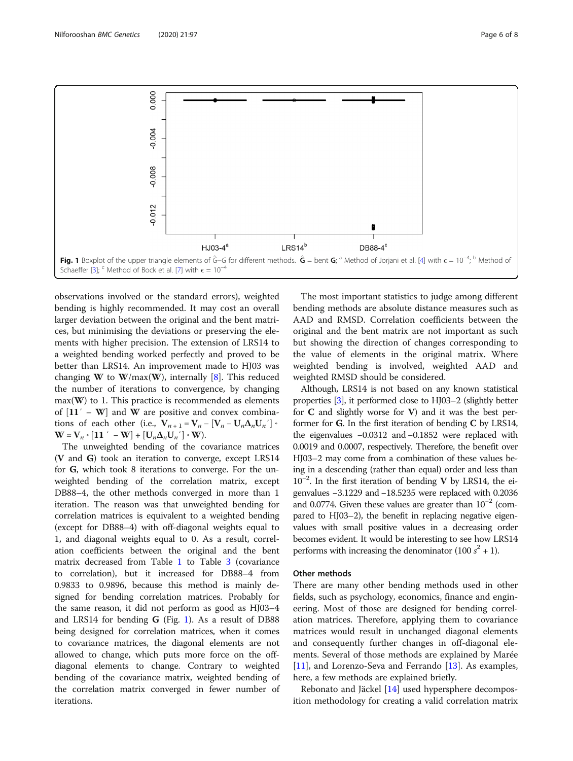<span id="page-5-0"></span>

observations involved or the standard errors), weighted bending is highly recommended. It may cost an overall larger deviation between the original and the bent matrices, but minimising the deviations or preserving the elements with higher precision. The extension of LRS14 to a weighted bending worked perfectly and proved to be better than LRS14. An improvement made to HJ03 was changing **W** to **W**/max(**W**), internally [\[8\]](#page-7-0). This reduced the number of iterations to convergence, by changing  $max(W)$  to 1. This practice is recommended as elements of  $[11' - W]$  and W are positive and convex combinations of each other (i.e.,  $V_{n+1} = V_n - [V_n - U_n \Delta_n U_n']$  ∘  $W = V_n \cdot [11' - W] + [U_n \Delta_n U_n'] \cdot W$ .

The unweighted bending of the covariance matrices (V and G) took an iteration to converge, except LRS14 for G, which took 8 iterations to converge. For the unweighted bending of the correlation matrix, except DB88–4, the other methods converged in more than 1 iteration. The reason was that unweighted bending for correlation matrices is equivalent to a weighted bending (except for DB88–4) with off-diagonal weights equal to 1, and diagonal weights equal to 0. As a result, correlation coefficients between the original and the bent matrix decreased from Table [1](#page-3-0) to Table [3](#page-4-0) (covariance to correlation), but it increased for DB88–4 from 0.9833 to 0.9896, because this method is mainly designed for bending correlation matrices. Probably for the same reason, it did not perform as good as HJ03–4 and LRS14 for bending  $G$  (Fig. 1). As a result of DB88 being designed for correlation matrices, when it comes to covariance matrices, the diagonal elements are not allowed to change, which puts more force on the offdiagonal elements to change. Contrary to weighted bending of the covariance matrix, weighted bending of the correlation matrix converged in fewer number of iterations.

The most important statistics to judge among different bending methods are absolute distance measures such as AAD and RMSD. Correlation coefficients between the original and the bent matrix are not important as such but showing the direction of changes corresponding to the value of elements in the original matrix. Where weighted bending is involved, weighted AAD and weighted RMSD should be considered.

Although, LRS14 is not based on any known statistical properties [\[3\]](#page-7-0), it performed close to HJ03–2 (slightly better for  $C$  and slightly worse for  $V$ ) and it was the best performer for G. In the first iteration of bending C by LRS14, the eigenvalues −0.0312 and −0.1852 were replaced with 0.0019 and 0.0007, respectively. Therefore, the benefit over HJ03–2 may come from a combination of these values being in a descending (rather than equal) order and less than 10−<sup>2</sup> . In the first iteration of bending V by LRS14, the eigenvalues −3.1229 and −18.5235 were replaced with 0.2036 and 0.0774. Given these values are greater than  $10^{-2}$  (compared to HJ03–2), the benefit in replacing negative eigenvalues with small positive values in a decreasing order becomes evident. It would be interesting to see how LRS14 performs with increasing the denominator  $(100 s<sup>2</sup> + 1)$ .

# Other methods

There are many other bending methods used in other fields, such as psychology, economics, finance and engineering. Most of those are designed for bending correlation matrices. Therefore, applying them to covariance matrices would result in unchanged diagonal elements and consequently further changes in off-diagonal elements. Several of those methods are explained by Marée [[11\]](#page-7-0), and Lorenzo-Seva and Ferrando [[13\]](#page-7-0). As examples, here, a few methods are explained briefly.

Rebonato and Jäckel [[14\]](#page-7-0) used hypersphere decomposition methodology for creating a valid correlation matrix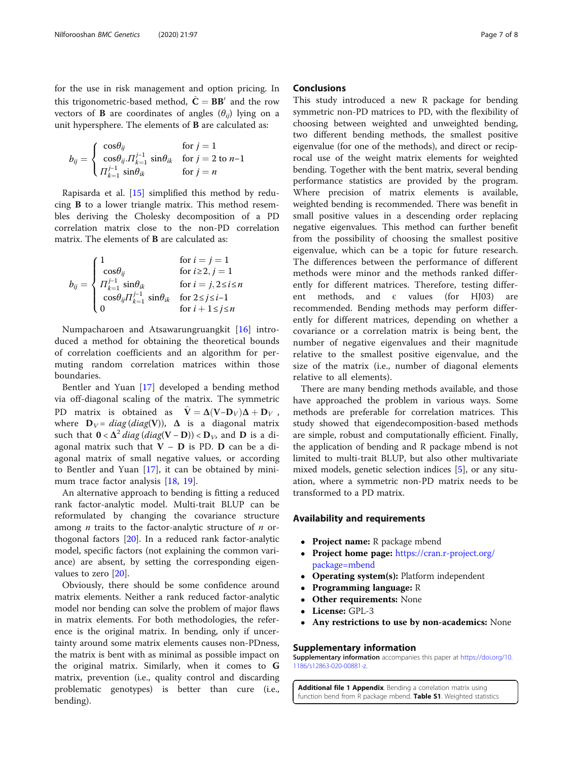<span id="page-6-0"></span>for the use in risk management and option pricing. In this trigonometric-based method,  $\hat{C} = BB'$  and the row vectors of **B** are coordinates of angles  $(\theta_{ii})$  lying on a unit hypersphere. The elements of B are calculated as:

$$
b_{ij} = \begin{cases} \cos\theta_{ij} & \text{for } j = 1\\ \cos\theta_{ij} . \Pi_{k=1}^{j-1} & \sin\theta_{ik} \\ \Pi_{k=1}^{j-1} & \sin\theta_{ik} \end{cases} \quad \text{for } j = 2 \text{ to } n-1
$$

Rapisarda et al. [[15](#page-7-0)] simplified this method by reducing B to a lower triangle matrix. This method resembles deriving the Cholesky decomposition of a PD correlation matrix close to the non-PD correlation matrix. The elements of B are calculated as:

$$
b_{ij} = \begin{cases} 1 & \text{for } i = j = 1 \\ \cos \theta_{ij} & \text{for } i \ge 2, j = 1 \\ \Pi_{k=1}^{j-1} \sin \theta_{ik} & \text{for } i = j, 2 \le i \le n \\ \cos \theta_{ij} \Pi_{k=1}^{j-1} \sin \theta_{ik} & \text{for } 2 \le j \le i-1 \\ 0 & \text{for } i + 1 \le j \le n \end{cases}
$$

Numpacharoen and Atsawarungruangkit [[16](#page-7-0)] introduced a method for obtaining the theoretical bounds of correlation coefficients and an algorithm for permuting random correlation matrices within those boundaries.

Bentler and Yuan [\[17](#page-7-0)] developed a bending method via off-diagonal scaling of the matrix. The symmetric PD matrix is obtained as  $\hat{\mathbf{V}} = \Delta(\mathbf{V} - \mathbf{D}_V) \Delta + \mathbf{D}_V$ , where  $D_V = diag(diag(V))$ ,  $\Delta$  is a diagonal matrix such that  $0 < \Delta^2 diag(diag(V - D)) < D_V$ , and D is a diagonal matrix such that  $V - D$  is PD. D can be a diagonal matrix of small negative values, or according to Bentler and Yuan [[17\]](#page-7-0), it can be obtained by minimum trace factor analysis [\[18](#page-7-0), [19](#page-7-0)].

An alternative approach to bending is fitting a reduced rank factor-analytic model. Multi-trait BLUP can be reformulated by changing the covariance structure among *n* traits to the factor-analytic structure of *n* orthogonal factors [[20](#page-7-0)]. In a reduced rank factor-analytic model, specific factors (not explaining the common variance) are absent, by setting the corresponding eigenvalues to zero [\[20](#page-7-0)].

Obviously, there should be some confidence around matrix elements. Neither a rank reduced factor-analytic model nor bending can solve the problem of major flaws in matrix elements. For both methodologies, the reference is the original matrix. In bending, only if uncertainty around some matrix elements causes non-PDness, the matrix is bent with as minimal as possible impact on the original matrix. Similarly, when it comes to G matrix, prevention (i.e., quality control and discarding problematic genotypes) is better than cure (i.e., bending).

# **Conclusions**

This study introduced a new R package for bending symmetric non-PD matrices to PD, with the flexibility of choosing between weighted and unweighted bending, two different bending methods, the smallest positive eigenvalue (for one of the methods), and direct or reciprocal use of the weight matrix elements for weighted bending. Together with the bent matrix, several bending performance statistics are provided by the program. Where precision of matrix elements is available, weighted bending is recommended. There was benefit in small positive values in a descending order replacing negative eigenvalues. This method can further benefit from the possibility of choosing the smallest positive eigenvalue, which can be a topic for future research. The differences between the performance of different methods were minor and the methods ranked differently for different matrices. Therefore, testing different methods, and  $\epsilon$  values (for HJ03) are recommended. Bending methods may perform differently for different matrices, depending on whether a covariance or a correlation matrix is being bent, the number of negative eigenvalues and their magnitude relative to the smallest positive eigenvalue, and the size of the matrix (i.e., number of diagonal elements relative to all elements).

There are many bending methods available, and those have approached the problem in various ways. Some methods are preferable for correlation matrices. This study showed that eigendecomposition-based methods are simple, robust and computationally efficient. Finally, the application of bending and R package mbend is not limited to multi-trait BLUP, but also other multivariate mixed models, genetic selection indices [[5\]](#page-7-0), or any situation, where a symmetric non-PD matrix needs to be transformed to a PD matrix.

# Availability and requirements

- Project name: R package mbend
- $\bullet$  Project home page: [https://cran.r-project.org/](https://cran.r-project.org/package=mbend) [package=mbend](https://cran.r-project.org/package=mbend)
- $\bullet$ Operating system(s): Platform independent
- Programming language: R
- $\bullet$ Other requirements: None
- -License: GPL-3
- Any restrictions to use by non-academics: None

### Supplementary information

Supplementary information accompanies this paper at [https://doi.org/10.](https://doi.org/10.1186/s12863-020-00881-z) [1186/s12863-020-00881-z.](https://doi.org/10.1186/s12863-020-00881-z)

Additional file 1 Appendix. Bending a correlation matrix using function bend from R package mbend. Table S1. Weighted statistics